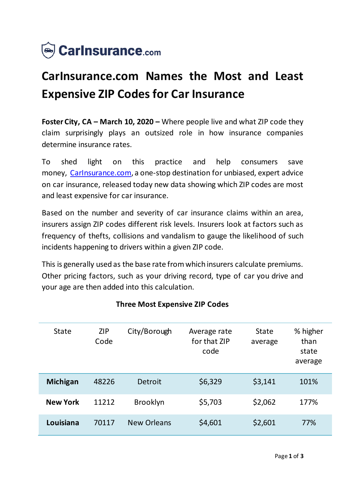

# **CarInsurance.com Names the Most and Least Expensive ZIP Codes for Car Insurance**

**Foster City, CA – March 10, 2020 –** Where people live and what ZIP code they claim surprisingly plays an outsized role in how insurance companies determine insurance rates.

To shed light on this practice and help consumers save money, Carinsurance.com, a one-stop destination for unbiased, expert advice on car insurance, released today new data showing which ZIP codes are most and least expensive for car insurance.

Based on the number and severity of car insurance claims within an area, insurers assign ZIP codes different risk levels. Insurers look at factors such as frequency of thefts, collisions and vandalism to gauge the likelihood of such incidents happening to drivers within a given ZIP code.

This is generally used as the base rate from which insurers calculate premiums. Other pricing factors, such as your driving record, type of car you drive and your age are then added into this calculation.

| <b>State</b>    | <b>ZIP</b><br>Code | City/Borough       | Average rate<br>for that ZIP<br>code | <b>State</b><br>average | % higher<br>than<br>state<br>average |
|-----------------|--------------------|--------------------|--------------------------------------|-------------------------|--------------------------------------|
| <b>Michigan</b> | 48226              | Detroit            | \$6,329                              | \$3,141                 | 101%                                 |
| <b>New York</b> | 11212              | <b>Brooklyn</b>    | \$5,703                              | \$2,062                 | 177%                                 |
| Louisiana       | 70117              | <b>New Orleans</b> | \$4,601                              | \$2,601                 | 77%                                  |

## **Three Most Expensive ZIP Codes**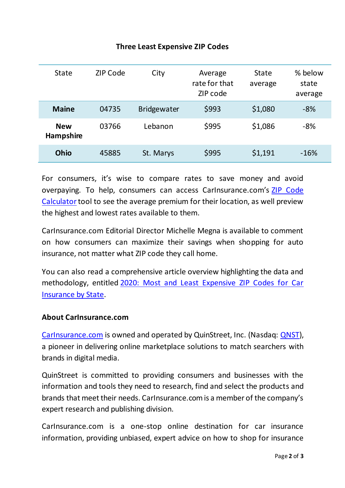#### State ZIP Code City Average rate for that ZIP code State average % below state average **Maine** 04735 Bridgewater \$993 \$1,080 -8% **New Hampshire** 03766 Lebanon \$995 \$1,086 -8% **Ohio** 45885 St. Marys \$995 \$1,191 -16%

### **Three Least Expensive ZIP Codes**

For consumers, it's wise to compare rates to save money and avoid overpaying. To help, consumers can access CarInsurance.com's [ZIP Code](https://www.carinsurance.com/calculators/average-car-insurance-rates.aspx)  [Calculator](https://www.carinsurance.com/calculators/average-car-insurance-rates.aspx) tool to see the average premium for their location, as well preview the highest and lowest rates available to them.

CarInsurance.com Editorial Director Michelle Megna is available to comment on how consumers can maximize their savings when shopping for auto insurance, not matter what ZIP code they call home.

You can also read a comprehensive article overview highlighting the data and methodology, entitled [2020: Most and Least Expensive ZIP Codes for Car](https://www.carinsurance.com/Articles/car-insurance-rate-comparison.aspx)  [Insurance by State](https://www.carinsurance.com/Articles/car-insurance-rate-comparison.aspx).

#### **About CarInsurance.com**

[CarInsurance.com](https://www.carinsurance.com/) is owned and operated by QuinStreet, Inc. (Nasdaq: [QNST\)](https://www.nasdaq.com/symbol/qnst), a pioneer in delivering online marketplace solutions to match searchers with brands in digital media.

QuinStreet is committed to providing consumers and businesses with the information and tools they need to research, find and select the products and brands that meet their needs. CarInsurance.com is a member of the company's expert research and publishing division.

CarInsurance.com is a one-stop online destination for car insurance information, providing unbiased, expert advice on how to shop for insurance